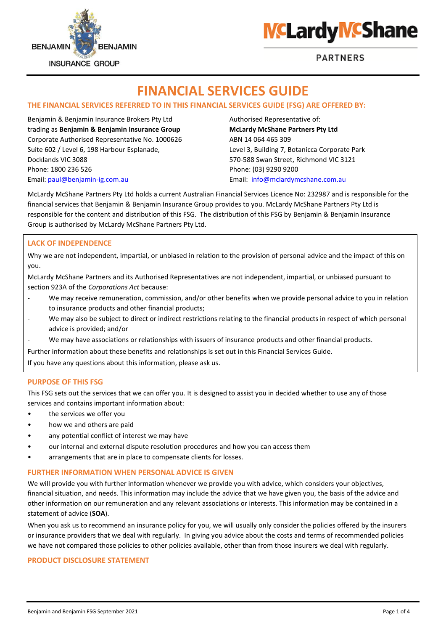



# **FINANCIAL SERVICES GUIDE**

# **THE FINANCIAL SERVICES REFERRED TO IN THIS FINANCIAL SERVICES GUIDE (FSG) ARE OFFERED BY:**

Benjamin & Benjamin Insurance Brokers Pty Ltd Authorised Representative of: trading as **Benjamin & Benjamin Insurance Group McLardy McShane Partners Pty Ltd** Corporate Authorised Representative No. 1000626 ABN 14 064 465 309 Suite 602 / Level 6, 198 Harbour Esplanade, Level 3, Building 7, Botanicca Corporate Park Docklands VIC 3088 570-588 Swan Street, Richmond VIC 3121 Phone: 1800 236 526 Phone: (03) 9290 9200 Email: [paul@benjamin-ig.com.au](mailto:paul@benjamin-ig.com.au) Email: [info@mclardymcshane.com.au](mailto:info@mclardymcshane.com.au)

McLardy McShane Partners Pty Ltd holds a current Australian Financial Services Licence No: 232987 and is responsible for the financial services that Benjamin & Benjamin Insurance Group provides to you. McLardy McShane Partners Pty Ltd is responsible for the content and distribution of this FSG. The distribution of this FSG by Benjamin & Benjamin Insurance Group is authorised by McLardy McShane Partners Pty Ltd.

## **LACK OF INDEPENDENCE**

Why we are not independent, impartial, or unbiased in relation to the provision of personal advice and the impact of this on you.

McLardy McShane Partners and its Authorised Representatives are not independent, impartial, or unbiased pursuant to section 923A of the *Corporations Act* because:

- We may receive remuneration, commission, and/or other benefits when we provide personal advice to you in relation to insurance products and other financial products;
- We may also be subject to direct or indirect restrictions relating to the financial products in respect of which personal advice is provided; and/or
- We may have associations or relationships with issuers of insurance products and other financial products.

Further information about these benefits and relationships is set out in this Financial Services Guide.

If you have any questions about this information, please ask us.

#### **PURPOSE OF THIS FSG**

This FSG sets out the services that we can offer you. It is designed to assist you in decided whether to use any of those services and contains important information about:

- the services we offer you
- how we and others are paid
- any potential conflict of interest we may have
- our internal and external dispute resolution procedures and how you can access them
- arrangements that are in place to compensate clients for losses.

## **FURTHER INFORMATION WHEN PERSONAL ADVICE IS GIVEN**

We will provide you with further information whenever we provide you with advice, which considers your objectives, financial situation, and needs. This information may include the advice that we have given you, the basis of the advice and other information on our remuneration and any relevant associations or interests. This information may be contained in a statement of advice (**SOA**).

When you ask us to recommend an insurance policy for you, we will usually only consider the policies offered by the insurers or insurance providers that we deal with regularly. In giving you advice about the costs and terms of recommended policies we have not compared those policies to other policies available, other than from those insurers we deal with regularly.

#### **PRODUCT DISCLOSURE STATEMENT**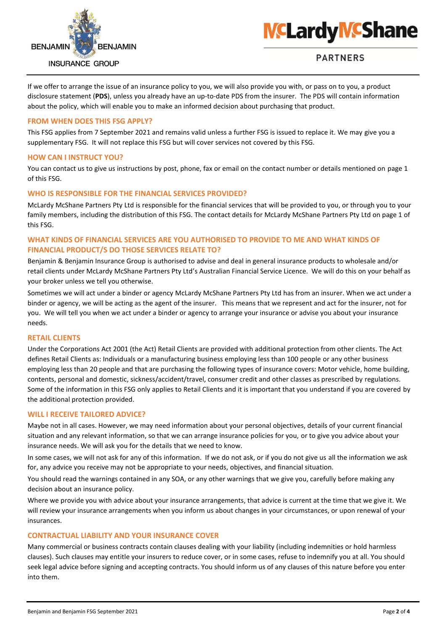



If we offer to arrange the issue of an insurance policy to you, we will also provide you with, or pass on to you, a product disclosure statement (**PDS**), unless you already have an up-to-date PDS from the insurer. The PDS will contain information about the policy, which will enable you to make an informed decision about purchasing that product.

#### **FROM WHEN DOES THIS FSG APPLY?**

This FSG applies from 7 September 2021 and remains valid unless a further FSG is issued to replace it. We may give you a supplementary FSG. It will not replace this FSG but will cover services not covered by this FSG.

## **HOW CAN I INSTRUCT YOU?**

You can contact us to give us instructions by post, phone, fax or email on the contact number or details mentioned on page 1 of this FSG.

## **WHO IS RESPONSIBLE FOR THE FINANCIAL SERVICES PROVIDED?**

McLardy McShane Partners Pty Ltd is responsible for the financial services that will be provided to you, or through you to your family members, including the distribution of this FSG. The contact details for McLardy McShane Partners Pty Ltd on page 1 of this FSG.

## **WHAT KINDS OF FINANCIAL SERVICES ARE YOU AUTHORISED TO PROVIDE TO ME AND WHAT KINDS OF FINANCIAL PRODUCT/S DO THOSE SERVICES RELATE TO?**

Benjamin & Benjamin Insurance Group is authorised to advise and deal in general insurance products to wholesale and/or retail clients under McLardy McShane Partners Pty Ltd's Australian Financial Service Licence. We will do this on your behalf as your broker unless we tell you otherwise.

Sometimes we will act under a binder or agency McLardy McShane Partners Pty Ltd has from an insurer. When we act under a binder or agency, we will be acting as the agent of the insurer. This means that we represent and act for the insurer, not for you. We will tell you when we act under a binder or agency to arrange your insurance or advise you about your insurance needs.

#### **RETAIL CLIENTS**

Under the Corporations Act 2001 (the Act) Retail Clients are provided with additional protection from other clients. The Act defines Retail Clients as: Individuals or a manufacturing business employing less than 100 people or any other business employing less than 20 people and that are purchasing the following types of insurance covers: Motor vehicle, home building, contents, personal and domestic, sickness/accident/travel, consumer credit and other classes as prescribed by regulations. Some of the information in this FSG only applies to Retail Clients and it is important that you understand if you are covered by the additional protection provided.

#### **WILL I RECEIVE TAILORED ADVICE?**

Maybe not in all cases. However, we may need information about your personal objectives, details of your current financial situation and any relevant information, so that we can arrange insurance policies for you, or to give you advice about your insurance needs. We will ask you for the details that we need to know.

In some cases, we will not ask for any of this information. If we do not ask, or if you do not give us all the information we ask for, any advice you receive may not be appropriate to your needs, objectives, and financial situation.

You should read the warnings contained in any SOA, or any other warnings that we give you, carefully before making any decision about an insurance policy.

Where we provide you with advice about your insurance arrangements, that advice is current at the time that we give it. We will review your insurance arrangements when you inform us about changes in your circumstances, or upon renewal of your insurances.

#### **CONTRACTUAL LIABILITY AND YOUR INSURANCE COVER**

Many commercial or business contracts contain clauses dealing with your liability (including indemnities or hold harmless clauses). Such clauses may entitle your insurers to reduce cover, or in some cases, refuse to indemnify you at all. You should seek legal advice before signing and accepting contracts. You should inform us of any clauses of this nature before you enter into them.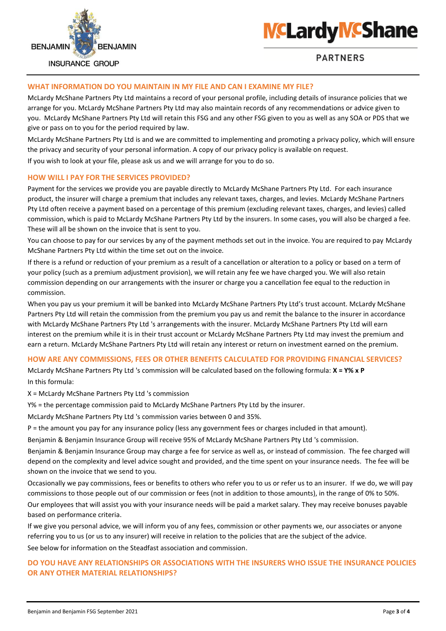



# **WHAT INFORMATION DO YOU MAINTAIN IN MY FILE AND CAN I EXAMINE MY FILE?**

McLardy McShane Partners Pty Ltd maintains a record of your personal profile, including details of insurance policies that we arrange for you. McLardy McShane Partners Pty Ltd may also maintain records of any recommendations or advice given to you. McLardy McShane Partners Pty Ltd will retain this FSG and any other FSG given to you as well as any SOA or PDS that we give or pass on to you for the period required by law.

McLardy McShane Partners Pty Ltd is and we are committed to implementing and promoting a privacy policy, which will ensure the privacy and security of your personal information. A copy of our privacy policy is available on request. If you wish to look at your file, please ask us and we will arrange for you to do so.

#### **HOW WILL I PAY FOR THE SERVICES PROVIDED?**

Payment for the services we provide you are payable directly to McLardy McShane Partners Pty Ltd. For each insurance product, the insurer will charge a premium that includes any relevant taxes, charges, and levies. McLardy McShane Partners Pty Ltd often receive a payment based on a percentage of this premium (excluding relevant taxes, charges, and levies) called commission, which is paid to McLardy McShane Partners Pty Ltd by the insurers. In some cases, you will also be charged a fee. These will all be shown on the invoice that is sent to you.

You can choose to pay for our services by any of the payment methods set out in the invoice. You are required to pay McLardy McShane Partners Pty Ltd within the time set out on the invoice.

If there is a refund or reduction of your premium as a result of a cancellation or alteration to a policy or based on a term of your policy (such as a premium adjustment provision), we will retain any fee we have charged you. We will also retain commission depending on our arrangements with the insurer or charge you a cancellation fee equal to the reduction in commission.

When you pay us your premium it will be banked into McLardy McShane Partners Pty Ltd's trust account. McLardy McShane Partners Pty Ltd will retain the commission from the premium you pay us and remit the balance to the insurer in accordance with McLardy McShane Partners Pty Ltd 's arrangements with the insurer. McLardy McShane Partners Pty Ltd will earn interest on the premium while it is in their trust account or McLardy McShane Partners Pty Ltd may invest the premium and earn a return. McLardy McShane Partners Pty Ltd will retain any interest or return on investment earned on the premium.

#### **HOW ARE ANY COMMISSIONS, FEES OR OTHER BENEFITS CALCULATED FOR PROVIDING FINANCIAL SERVICES?**

McLardy McShane Partners Pty Ltd 's commission will be calculated based on the following formula: **X = Y% x P**  In this formula:

X = McLardy McShane Partners Pty Ltd 's commission

Y% = the percentage commission paid to McLardy McShane Partners Pty Ltd by the insurer.

McLardy McShane Partners Pty Ltd 's commission varies between 0 and 35%.

P = the amount you pay for any insurance policy (less any government fees or charges included in that amount).

Benjamin & Benjamin Insurance Group will receive 95% of McLardy McShane Partners Pty Ltd 's commission.

Benjamin & Benjamin Insurance Group may charge a fee for service as well as, or instead of commission. The fee charged will depend on the complexity and level advice sought and provided, and the time spent on your insurance needs. The fee will be shown on the invoice that we send to you.

Occasionally we pay commissions, fees or benefits to others who refer you to us or refer us to an insurer. If we do, we will pay commissions to those people out of our commission or fees (not in addition to those amounts), in the range of 0% to 50%.

Our employees that will assist you with your insurance needs will be paid a market salary. They may receive bonuses payable based on performance criteria.

If we give you personal advice, we will inform you of any fees, commission or other payments we, our associates or anyone referring you to us (or us to any insurer) will receive in relation to the policies that are the subject of the advice.

See below for information on the Steadfast association and commission.

# **DO YOU HAVE ANY RELATIONSHIPS OR ASSOCIATIONS WITH THE INSURERS WHO ISSUE THE INSURANCE POLICIES OR ANY OTHER MATERIAL RELATIONSHIPS?**